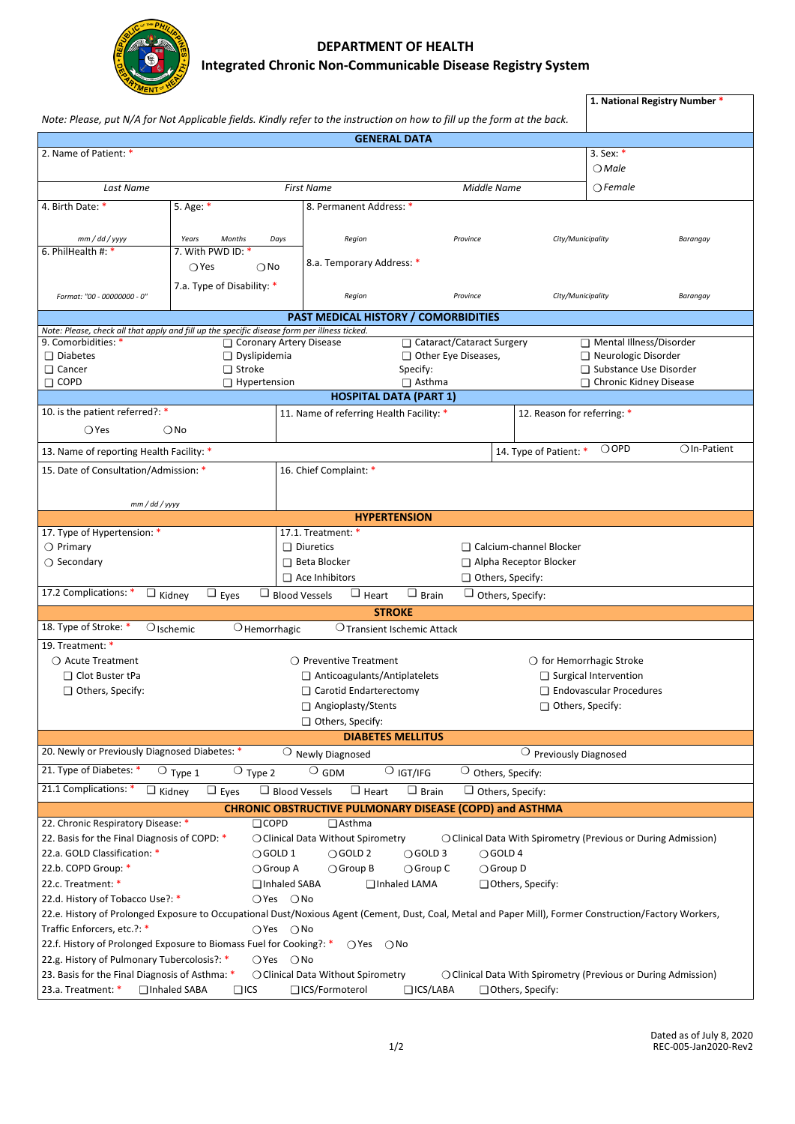

## *DEPARTMENT OF HEALTH Integrated Chronic Non-Communicable Disease Registry System*

| <b>MENT<sup>OF</sup></b>                                                                                                                                                                                 |                                                                     |                                                         |                                    |                        |                                                                                           | 1. National Registry Number * |                          |  |  |  |  |  |  |
|----------------------------------------------------------------------------------------------------------------------------------------------------------------------------------------------------------|---------------------------------------------------------------------|---------------------------------------------------------|------------------------------------|------------------------|-------------------------------------------------------------------------------------------|-------------------------------|--------------------------|--|--|--|--|--|--|
| Note: Please, put N/A for Not Applicable fields. Kindly refer to the instruction on how to fill up the form at the back.<br><b>GENERAL DATA</b>                                                          |                                                                     |                                                         |                                    |                        |                                                                                           |                               |                          |  |  |  |  |  |  |
| 2. Name of Patient: *<br>3. Sex: $*$                                                                                                                                                                     |                                                                     |                                                         |                                    |                        |                                                                                           |                               |                          |  |  |  |  |  |  |
|                                                                                                                                                                                                          |                                                                     |                                                         |                                    |                        |                                                                                           | $\bigcirc$ Male               |                          |  |  |  |  |  |  |
| Last Name                                                                                                                                                                                                | <b>First Name</b><br>Middle Name                                    |                                                         |                                    |                        | $\bigcirc$ Female                                                                         |                               |                          |  |  |  |  |  |  |
| 4. Birth Date: *                                                                                                                                                                                         | 8. Permanent Address: *                                             |                                                         |                                    |                        |                                                                                           |                               |                          |  |  |  |  |  |  |
|                                                                                                                                                                                                          |                                                                     |                                                         |                                    |                        |                                                                                           |                               |                          |  |  |  |  |  |  |
| $mm$ / dd / yyyy                                                                                                                                                                                         | Years<br><b>Months</b><br>Days                                      | Region                                                  |                                    | Province               |                                                                                           | City/Municipality<br>Barangay |                          |  |  |  |  |  |  |
| 6. PhilHealth #: *                                                                                                                                                                                       | 7. With PWD ID: *                                                   |                                                         |                                    |                        |                                                                                           |                               |                          |  |  |  |  |  |  |
|                                                                                                                                                                                                          | $\bigcirc$ Yes<br>$\bigcirc$ No                                     | 8.a. Temporary Address: *                               |                                    |                        |                                                                                           |                               |                          |  |  |  |  |  |  |
|                                                                                                                                                                                                          | 7.a. Type of Disability: *                                          |                                                         |                                    | Province               | City/Municipality                                                                         |                               |                          |  |  |  |  |  |  |
| Format: "00 - 00000000 - 0"                                                                                                                                                                              | Region                                                              |                                                         |                                    |                        |                                                                                           | Barangay                      |                          |  |  |  |  |  |  |
| <b>PAST MEDICAL HISTORY / COMORBIDITIES</b>                                                                                                                                                              |                                                                     |                                                         |                                    |                        |                                                                                           |                               |                          |  |  |  |  |  |  |
| Note: Please, check all that apply and fill up the specific disease form per illness ticked.<br>□ Cataract/Cataract Surgery<br>Mental Illness/Disorder<br>9. Comorbidities: *<br>Coronary Artery Disease |                                                                     |                                                         |                                    |                        |                                                                                           |                               |                          |  |  |  |  |  |  |
| $\Box$ Diabetes                                                                                                                                                                                          | $\Box$ Dyslipidemia                                                 |                                                         | Other Eye Diseases,                |                        |                                                                                           | Neurologic Disorder           |                          |  |  |  |  |  |  |
| □ Cancer                                                                                                                                                                                                 | $\Box$ Stroke                                                       | Specify:                                                |                                    |                        |                                                                                           |                               | □ Substance Use Disorder |  |  |  |  |  |  |
| $\Box$ COPD                                                                                                                                                                                              | $\Box$ Hypertension                                                 | □ Asthma                                                |                                    |                        |                                                                                           | □ Chronic Kidney Disease      |                          |  |  |  |  |  |  |
|                                                                                                                                                                                                          |                                                                     | <b>HOSPITAL DATA (PART 1)</b>                           |                                    |                        |                                                                                           |                               |                          |  |  |  |  |  |  |
| 10. is the patient referred?: *                                                                                                                                                                          |                                                                     | 11. Name of referring Health Facility: *                |                                    |                        | 12. Reason for referring: *                                                               |                               |                          |  |  |  |  |  |  |
| $\bigcirc$ Yes                                                                                                                                                                                           | $\bigcirc$ No                                                       |                                                         |                                    |                        |                                                                                           |                               |                          |  |  |  |  |  |  |
| 13. Name of reporting Health Facility: *                                                                                                                                                                 |                                                                     |                                                         |                                    |                        | 14. Type of Patient: *                                                                    | $\bigcirc$ OPD                | $\bigcirc$ In-Patient    |  |  |  |  |  |  |
| 15. Date of Consultation/Admission: *                                                                                                                                                                    |                                                                     | 16. Chief Complaint: *                                  |                                    |                        |                                                                                           |                               |                          |  |  |  |  |  |  |
|                                                                                                                                                                                                          |                                                                     |                                                         |                                    |                        |                                                                                           |                               |                          |  |  |  |  |  |  |
| mm/dd/yyyy                                                                                                                                                                                               |                                                                     |                                                         |                                    |                        |                                                                                           |                               |                          |  |  |  |  |  |  |
|                                                                                                                                                                                                          |                                                                     |                                                         | <b>HYPERTENSION</b>                |                        |                                                                                           |                               |                          |  |  |  |  |  |  |
| 17. Type of Hypertension: *                                                                                                                                                                              |                                                                     | 17.1. Treatment: *                                      |                                    |                        |                                                                                           |                               |                          |  |  |  |  |  |  |
| $\bigcirc$ Primary                                                                                                                                                                                       | $\Box$ Diuretics<br>□ Calcium-channel Blocker                       |                                                         |                                    |                        |                                                                                           |                               |                          |  |  |  |  |  |  |
| $\bigcirc$ Secondary                                                                                                                                                                                     | □ Beta Blocker                                                      |                                                         |                                    | Alpha Receptor Blocker |                                                                                           |                               |                          |  |  |  |  |  |  |
|                                                                                                                                                                                                          | $\Box$ Ace Inhibitors<br>Others, Specify:                           |                                                         |                                    |                        |                                                                                           |                               |                          |  |  |  |  |  |  |
| 17.2 Complications: *                                                                                                                                                                                    | $\Box$ Kidney<br>$\Box$ Eyes<br>$\Box$ Blood Vessels                | $\Box$ Heart                                            | $\Box$ Brain                       |                        | $\Box$ Others, Specify:                                                                   |                               |                          |  |  |  |  |  |  |
|                                                                                                                                                                                                          |                                                                     |                                                         | <b>STROKE</b>                      |                        |                                                                                           |                               |                          |  |  |  |  |  |  |
| 18. Type of Stroke: *                                                                                                                                                                                    | $\bigcirc$ Ischemic<br>$\bigcirc$ Hemorrhagic                       |                                                         | <b>O</b> Transient Ischemic Attack |                        |                                                                                           |                               |                          |  |  |  |  |  |  |
| 19. Treatment: *                                                                                                                                                                                         |                                                                     |                                                         |                                    |                        |                                                                                           |                               |                          |  |  |  |  |  |  |
| ○ Acute Treatment                                                                                                                                                                                        |                                                                     | ○ Preventive Treatment                                  |                                    |                        | $\bigcirc$ for Hemorrhagic Stroke                                                         |                               |                          |  |  |  |  |  |  |
| □ Clot Buster tPa                                                                                                                                                                                        | □ Anticoagulants/Antiplatelets                                      |                                                         |                                    |                        | □ Surgical Intervention                                                                   |                               |                          |  |  |  |  |  |  |
| Others, Specify:                                                                                                                                                                                         |                                                                     | Carotid Endarterectomy                                  |                                    |                        |                                                                                           | Endovascular Procedures       |                          |  |  |  |  |  |  |
|                                                                                                                                                                                                          | Others, Specify:                                                    |                                                         |                                    |                        |                                                                                           |                               |                          |  |  |  |  |  |  |
| Others, Specify:                                                                                                                                                                                         |                                                                     |                                                         |                                    |                        |                                                                                           |                               |                          |  |  |  |  |  |  |
|                                                                                                                                                                                                          |                                                                     |                                                         | <b>DIABETES MELLITUS</b>           |                        |                                                                                           |                               |                          |  |  |  |  |  |  |
| 20. Newly or Previously Diagnosed Diabetes: *                                                                                                                                                            |                                                                     | $\bigcirc$ Newly Diagnosed                              |                                    |                        | $\bigcirc$ Previously Diagnosed                                                           |                               |                          |  |  |  |  |  |  |
| 21. Type of Diabetes: *                                                                                                                                                                                  | $\bigcirc$ Type 2<br>$\bigcirc$ Type 1                              | $\bigcirc$ GDM                                          | $\overline{O}$ igt/ifg             |                        | $\bigcirc$ Others, Specify:                                                               |                               |                          |  |  |  |  |  |  |
| 21.1 Complications: *                                                                                                                                                                                    | $\Box$ Eyes<br>$\Box$ Kidney<br>$\Box$ Blood Vessels                | $\Box$ Heart                                            | $\Box$ Brain                       |                        | Others, Specify:                                                                          |                               |                          |  |  |  |  |  |  |
|                                                                                                                                                                                                          |                                                                     | CHRONIC OBSTRUCTIVE PULMONARY DISEASE (COPD) and ASTHMA |                                    |                        |                                                                                           |                               |                          |  |  |  |  |  |  |
| 22. Chronic Respiratory Disease: *                                                                                                                                                                       | $\Box$ COPD                                                         | □ Asthma                                                |                                    |                        |                                                                                           |                               |                          |  |  |  |  |  |  |
| 22. Basis for the Final Diagnosis of COPD: *                                                                                                                                                             |                                                                     | ○ Clinical Data Without Spirometry                      |                                    |                        | ○ Clinical Data With Spirometry (Previous or During Admission)                            |                               |                          |  |  |  |  |  |  |
| 22.a. GOLD Classification: *                                                                                                                                                                             | $\bigcirc$ GOLD 1                                                   | $\bigcirc$ GOLD 2                                       | ○GOLD 3                            |                        | $\bigcirc$ GOLD 4                                                                         |                               |                          |  |  |  |  |  |  |
| 22.b. COPD Group: *                                                                                                                                                                                      | $\bigcirc$ Group A                                                  | ○ Group B                                               | ○ Group C                          |                        | ○ Group D                                                                                 |                               |                          |  |  |  |  |  |  |
| 22.c. Treatment: *<br>Inhaled SABA<br>Inhaled LAMA<br>Others, Specify:                                                                                                                                   |                                                                     |                                                         |                                    |                        |                                                                                           |                               |                          |  |  |  |  |  |  |
| 22.d. History of Tobacco Use?: *<br>$O$ Yes $O$ No                                                                                                                                                       |                                                                     |                                                         |                                    |                        |                                                                                           |                               |                          |  |  |  |  |  |  |
| 22.e. History of Prolonged Exposure to Occupational Dust/Noxious Agent (Cement, Dust, Coal, Metal and Paper Mill), Former Construction/Factory Workers,                                                  |                                                                     |                                                         |                                    |                        |                                                                                           |                               |                          |  |  |  |  |  |  |
| Traffic Enforcers, etc.?: *                                                                                                                                                                              | ○Yes ○No                                                            |                                                         |                                    |                        |                                                                                           |                               |                          |  |  |  |  |  |  |
|                                                                                                                                                                                                          | 22.f. History of Prolonged Exposure to Biomass Fuel for Cooking?: * | $\bigcirc$ Yes                                          | $\bigcirc$ No                      |                        |                                                                                           |                               |                          |  |  |  |  |  |  |
| 22.g. History of Pulmonary Tubercolosis?: *                                                                                                                                                              | $OYes$ $ONo$                                                        |                                                         |                                    |                        |                                                                                           |                               |                          |  |  |  |  |  |  |
| 23. Basis for the Final Diagnosis of Asthma: *<br>23.a. Treatment: *                                                                                                                                     | Inhaled SABA<br>$\Box$ ICS                                          | ○ Clinical Data Without Spirometry<br>□ ICS/Formoterol  | $\Box$ ICS/LABA                    |                        | ○ Clinical Data With Spirometry (Previous or During Admission)<br>$\Box$ Others, Specify: |                               |                          |  |  |  |  |  |  |
|                                                                                                                                                                                                          |                                                                     |                                                         |                                    |                        |                                                                                           |                               |                          |  |  |  |  |  |  |